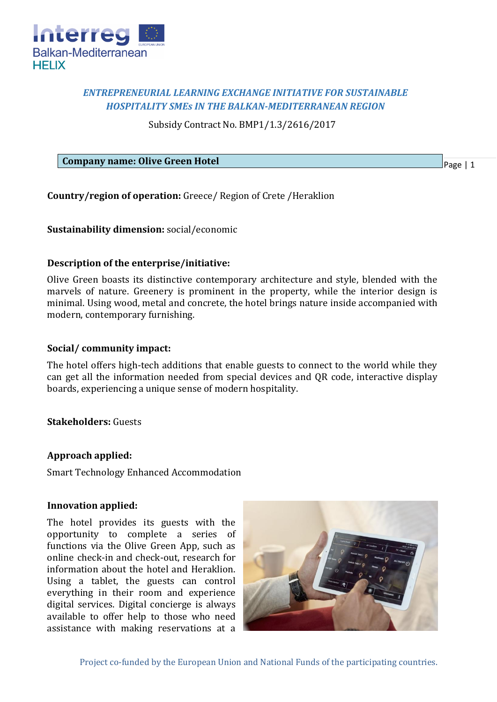

# *ENTREPRENEURIAL LEARNING EXCHANGE INITIATIVE FOR SUSTAINABLE HOSPITALITY SMEs IN THE BALKAN-MEDITERRANEAN REGION*

Subsidy Contract No. BMP1/1.3/2616/2017

**Company name: Olive Green Hotel**

Page | 1

**Country/region of operation:** Greece/ Region of Crete /Heraklion

**Sustainability dimension:** social/economic

### **Description of the enterprise/initiative:**

Olive Green boasts its distinctive contemporary architecture and style, blended with the marvels of nature. Greenery is prominent in the property, while the interior design is minimal. Using wood, metal and concrete, the hotel brings nature inside accompanied with modern, contemporary furnishing.

### **Social/ community impact:**

The hotel offers high-tech additions that enable guests to connect to the world while they can get all the information needed from special devices and QR code, interactive display boards, experiencing a unique sense of modern hospitality.

## **Stakeholders:** Guests

#### **Approach applied:**

Smart Technology Enhanced Accommodation

#### **Innovation applied:**

The hotel provides its guests with the opportunity to complete a series of functions via the Olive Green App, such as online check-in and check-out, research for information about the hotel and Heraklion. Using a tablet, the guests can control everything in their room and experience digital services. Digital concierge is always available to offer help to those who need assistance with making reservations at a